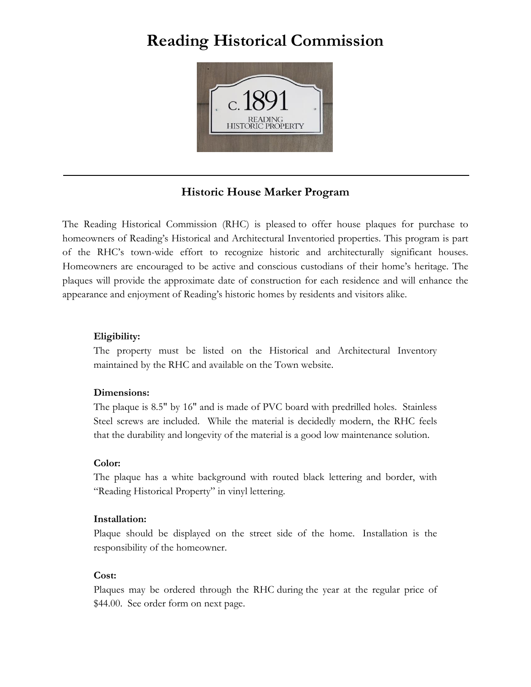## **Reading Historical Commission**



### **Historic House Marker Program**

The Reading Historical Commission (RHC) is pleased to offer house plaques for purchase to homeowners of Reading's Historical and Architectural Inventoried properties. This program is part of the RHC's town-wide effort to recognize historic and architecturally significant houses. Homeowners are encouraged to be active and conscious custodians of their home's heritage. The plaques will provide the approximate date of construction for each residence and will enhance the appearance and enjoyment of Reading's historic homes by residents and visitors alike.

#### **Eligibility:**

The property must be listed on the Historical and Architectural Inventory maintained by the RHC and available on the Town website.

#### **Dimensions:**

The plaque is 8.5" by 16" and is made of PVC board with predrilled holes. Stainless Steel screws are included. While the material is decidedly modern, the RHC feels that the durability and longevity of the material is a good low maintenance solution.

#### **Color:**

The plaque has a white background with routed black lettering and border, with "Reading Historical Property" in vinyl lettering.

#### **Installation:**

Plaque should be displayed on the street side of the home. Installation is the responsibility of the homeowner.

#### **Cost:**

Plaques may be ordered through the RHC during the year at the regular price of \$44.00. See order form on next page.